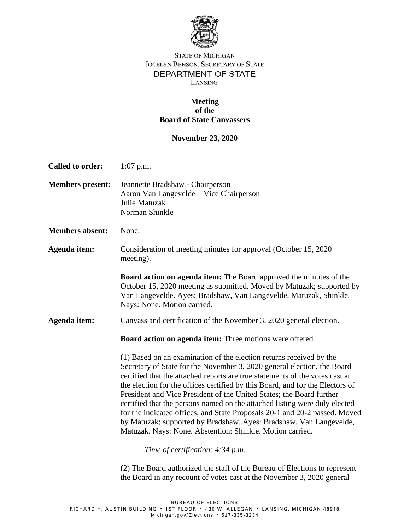

## **STATE OF MICHIGAN** JOCELYN BENSON, SECRETARY OF STATE DEPARTMENT OF STATE LANSING

## **Meeting of the Board of State Canvassers**

## **November 23, 2020**

| <b>Called to order:</b> | $1:07$ p.m.                                                                                                                                                                                                                                                                                                                                                                                                                                                                                                                                                                                                                                                                            |
|-------------------------|----------------------------------------------------------------------------------------------------------------------------------------------------------------------------------------------------------------------------------------------------------------------------------------------------------------------------------------------------------------------------------------------------------------------------------------------------------------------------------------------------------------------------------------------------------------------------------------------------------------------------------------------------------------------------------------|
| <b>Members present:</b> | Jeannette Bradshaw - Chairperson<br>Aaron Van Langevelde – Vice Chairperson<br>Julie Matuzak<br>Norman Shinkle                                                                                                                                                                                                                                                                                                                                                                                                                                                                                                                                                                         |
| <b>Members absent:</b>  | None.                                                                                                                                                                                                                                                                                                                                                                                                                                                                                                                                                                                                                                                                                  |
| Agenda item:            | Consideration of meeting minutes for approval (October 15, 2020<br>meeting).                                                                                                                                                                                                                                                                                                                                                                                                                                                                                                                                                                                                           |
|                         | <b>Board action on agenda item:</b> The Board approved the minutes of the<br>October 15, 2020 meeting as submitted. Moved by Matuzak; supported by<br>Van Langevelde. Ayes: Bradshaw, Van Langevelde, Matuzak, Shinkle.<br>Nays: None. Motion carried.                                                                                                                                                                                                                                                                                                                                                                                                                                 |
| Agenda item:            | Canvass and certification of the November 3, 2020 general election.                                                                                                                                                                                                                                                                                                                                                                                                                                                                                                                                                                                                                    |
|                         | Board action on agenda item: Three motions were offered.                                                                                                                                                                                                                                                                                                                                                                                                                                                                                                                                                                                                                               |
|                         | (1) Based on an examination of the election returns received by the<br>Secretary of State for the November 3, 2020 general election, the Board<br>certified that the attached reports are true statements of the votes cast at<br>the election for the offices certified by this Board, and for the Electors of<br>President and Vice President of the United States; the Board further<br>certified that the persons named on the attached listing were duly elected<br>for the indicated offices, and State Proposals 20-1 and 20-2 passed. Moved<br>by Matuzak; supported by Bradshaw. Ayes: Bradshaw, Van Langevelde,<br>Matuzak. Nays: None. Abstention: Shinkle. Motion carried. |
|                         | Time of certification: 4:34 p.m.                                                                                                                                                                                                                                                                                                                                                                                                                                                                                                                                                                                                                                                       |
|                         | (2) The Board authorized the staff of the Bureau of Elections to represent<br>the Board in any recount of votes cast at the November 3, 2020 general                                                                                                                                                                                                                                                                                                                                                                                                                                                                                                                                   |